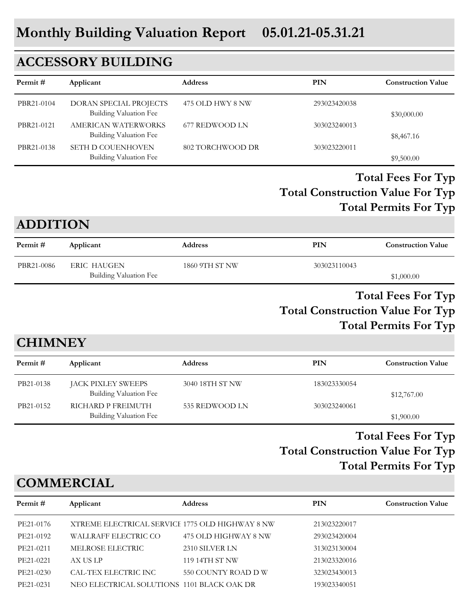# **ACCESSORY BUILDING**

| Permit#    | Applicant                                          | <b>Address</b>   | PIN          | <b>Construction Value</b> |
|------------|----------------------------------------------------|------------------|--------------|---------------------------|
| PBR21-0104 | DORAN SPECIAL PROJECTS<br>Building Valuation Fee   | 475 OLD HWY 8 NW | 293023420038 | \$30,000.00               |
| PBR21-0121 | AMERICAN WATERWORKS<br>Building Valuation Fee      | 677 REDWOOD LN   | 303023240013 | \$8,467.16                |
| PBR21-0138 | <b>SETH D COUENHOVEN</b><br>Building Valuation Fee | 802 TORCHWOOD DR | 303023220011 | \$9,500.00                |

## **Total Construction Value For Typ Total Fees For Typ Total Permits For Typ**

## **ADDITION**

| Permit #   | Applicant                     | <b>Address</b> | PIN          | <b>Construction Value</b> |
|------------|-------------------------------|----------------|--------------|---------------------------|
| PBR21-0086 | ERIC HAUGEN                   | 1860 9TH ST NW | 303023110043 |                           |
|            | <b>Building Valuation Fee</b> |                |              | \$1,000.00                |

## **Total Construction Value For Typ Total Fees For Typ Total Permits For Typ**

# **CHIMNEY**

| Permit #  | Applicant                                    | <b>Address</b>  | PIN          | <b>Construction Value</b> |
|-----------|----------------------------------------------|-----------------|--------------|---------------------------|
| PB21-0138 | JACK PIXLEY SWEEPS<br>Building Valuation Fee | 3040 18TH ST NW | 183023330054 | \$12,767.00               |
| PB21-0152 | RICHARD P FREIMUTH<br>Building Valuation Fee | 535 REDWOOD LN  | 303023240061 | \$1,900.00                |

# **Total Construction Value For Typ Total Fees For Typ Total Permits For Typ**

# **COMMERCIAL**

| Permit #  | Applicant                                       | <b>Address</b>       | <b>PIN</b>   | <b>Construction Value</b> |
|-----------|-------------------------------------------------|----------------------|--------------|---------------------------|
| PE21-0176 | XTREME ELECTRICAL SERVICE 1775 OLD HIGHWAY 8 NW |                      | 213023220017 |                           |
| PE21-0192 | WALLRAFF ELECTRIC CO                            | 475 OLD HIGHWAY 8 NW | 293023420004 |                           |
| PE21-0211 | MELROSE ELECTRIC                                | 2310 SILVER LN       | 313023130004 |                           |
| PE21-0221 | AX US LP                                        | 119 14TH ST NW       | 213023320016 |                           |
| PE21-0230 | CAL-TEX ELECTRIC INC                            | 550 COUNTY ROAD D W  | 323023430013 |                           |
| PE21-0231 | NEO ELECTRICAL SOLUTIONS 1101 BLACK OAK DR      |                      | 193023340051 |                           |
|           |                                                 |                      |              |                           |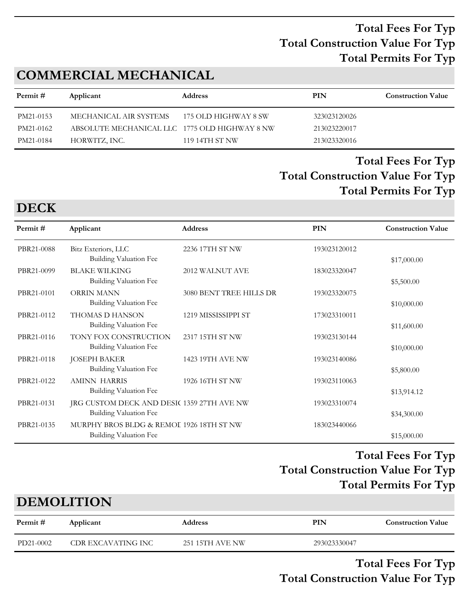# **COMMERCIAL MECHANICAL**

| Permit #  | Applicant                                     | <b>Address</b>       | PIN          | <b>Construction Value</b> |
|-----------|-----------------------------------------------|----------------------|--------------|---------------------------|
| PM21-0153 | MECHANICAL AIR SYSTEMS                        | 175 OLD HIGHWAY 8 SW | 323023120026 |                           |
| PM21-0162 | ABSOLUTE MECHANICAL LLC 1775 OLD HIGHWAY 8 NW |                      | 213023220017 |                           |
| PM21-0184 | HORWITZ, INC.                                 | 119 14TH ST NW       | 213023320016 |                           |

# **Total Construction Value For Typ Total Fees For Typ Total Permits For Typ**

#### **DECK**

| Permit#    | Applicant                                                            | Address                 | PIN          | <b>Construction Value</b> |
|------------|----------------------------------------------------------------------|-------------------------|--------------|---------------------------|
| PBR21-0088 | Bitz Exteriors, LLC<br>Building Valuation Fee                        | 2236 17TH ST NW         | 193023120012 | \$17,000.00               |
| PBR21-0099 | <b>BLAKE WILKING</b><br>Building Valuation Fee                       | 2012 WALNUT AVE         | 183023320047 | \$5,500.00                |
| PBR21-0101 | ORRIN MANN<br>Building Valuation Fee                                 | 3080 BENT TREE HILLS DR | 193023320075 | \$10,000.00               |
| PBR21-0112 | THOMAS D HANSON<br>Building Valuation Fee                            | 1219 MISSISSIPPI ST     | 173023310011 | \$11,600.00               |
| PBR21-0116 | TONY FOX CONSTRUCTION<br>Building Valuation Fee                      | 2317 15TH ST NW         | 193023130144 | \$10,000.00               |
| PBR21-0118 | <b>JOSEPH BAKER</b><br>Building Valuation Fee                        | 1423 19TH AVE NW        | 193023140086 | \$5,800.00                |
| PBR21-0122 | <b>AMINN HARRIS</b><br>Building Valuation Fee                        | 1926 16TH ST NW         | 193023110063 | \$13,914.12               |
| PBR21-0131 | JRG CUSTOM DECK AND DESI( 1359 27TH AVE NW<br>Building Valuation Fee |                         | 193023310074 | \$34,300.00               |
| PBR21-0135 | MURPHY BROS BLDG & REMOI 1926 18TH ST NW<br>Building Valuation Fee   |                         | 183023440066 | \$15,000.00               |

# **Total Construction Value For Typ Total Fees For Typ Total Permits For Typ**

#### **DEMOLITION**

| Permit #  | Applicant          | Address         | PIN          | <b>Construction Value</b> |
|-----------|--------------------|-----------------|--------------|---------------------------|
| PD21-0002 | CDR EXCAVATING INC | 251 15TH AVE NW | 293023330047 |                           |

**Total Construction Value For Typ Total Fees For Typ**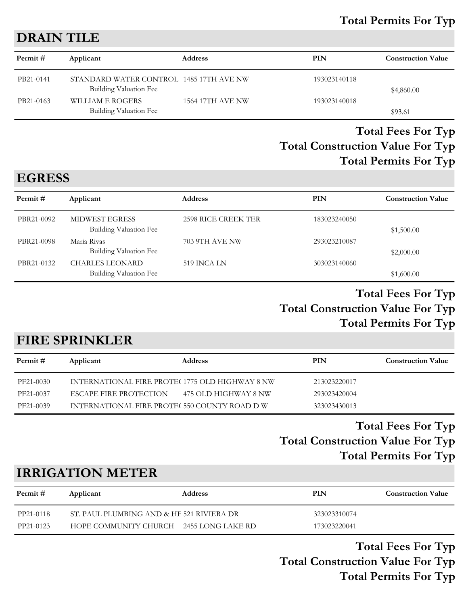#### **Total Permits For Typ**

#### **DRAIN TILE**

| Permit #  | Applicant                                                         | <b>Address</b>          | PIN          | <b>Construction Value</b> |
|-----------|-------------------------------------------------------------------|-------------------------|--------------|---------------------------|
| PB21-0141 | STANDARD WATER CONTROL 1485 17TH AVE NW<br>Building Valuation Fee |                         | 193023140118 | \$4,860.00                |
| PB21-0163 | WILLIAM E ROGERS<br>Building Valuation Fee                        | <b>1564 17TH AVE NW</b> | 193023140018 | \$93.61                   |

# **Total Construction Value For Typ Total Fees For Typ Total Permits For Typ**

# **EGRESS**

| Permit #   | Applicant                                        | <b>Address</b>      | PIN          | <b>Construction Value</b> |
|------------|--------------------------------------------------|---------------------|--------------|---------------------------|
| PBR21-0092 | <b>MIDWEST EGRESS</b><br>Building Valuation Fee  | 2598 RICE CREEK TER | 183023240050 | \$1,500.00                |
| PBR21-0098 | Maria Rivas<br><b>Building Valuation Fee</b>     | 703 9TH AVE NW      | 293023210087 | \$2,000.00                |
| PBR21-0132 | <b>CHARLES LEONARD</b><br>Building Valuation Fee | 519 INCA LN         | 303023140060 | \$1,600.00                |

#### **Total Construction Value For Typ Total Fees For Typ Total Permits For Typ**

#### **FIRE SPRINKLER**

| Permit #  | Applicant                                       | <b>Address</b>       | PIN          | <b>Construction Value</b> |
|-----------|-------------------------------------------------|----------------------|--------------|---------------------------|
| PF21-0030 | INTERNATIONAL FIRE PROTEC 1775 OLD HIGHWAY 8 NW |                      | 213023220017 |                           |
| PF21-0037 | ESCAPE FIRE PROTECTION                          | 475 OLD HIGHWAY 8 NW | 293023420004 |                           |
| PF21-0039 | INTERNATIONAL FIRE PROTE(550 COUNTY ROAD D W    |                      | 323023430013 |                           |

# **Total Construction Value For Typ Total Fees For Typ Total Permits For Typ**

# **IRRIGATION METER**

| Permit #  | Applicant                                 | <b>Address</b> | PIN          | <b>Construction Value</b> |
|-----------|-------------------------------------------|----------------|--------------|---------------------------|
| PP21-0118 | ST. PAUL PLUMBING AND & HE 521 RIVIERA DR |                | 323023310074 |                           |
| PP21-0123 | HOPE COMMUNITY CHURCH 2455 LONG LAKE RD   |                | 173023220041 |                           |

**Total Construction Value For Typ Total Fees For Typ Total Permits For Typ**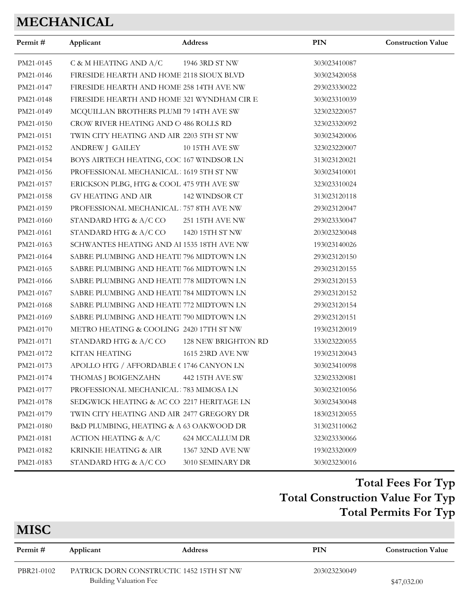# **MECHANICAL**

| Permit#   | Applicant                                  | Address                | PIN          | <b>Construction Value</b> |
|-----------|--------------------------------------------|------------------------|--------------|---------------------------|
| PM21-0145 | C & M HEATING AND A/C                      | 1946 3RD ST NW         | 303023410087 |                           |
| PM21-0146 | FIRESIDE HEARTH AND HOME 2118 SIOUX BLVD   |                        | 303023420058 |                           |
| PM21-0147 | FIRESIDE HEARTH AND HOME 258 14TH AVE NW   |                        | 293023330022 |                           |
| PM21-0148 | FIRESIDE HEARTH AND HOME 321 WYNDHAM CIR E |                        | 303023310039 |                           |
| PM21-0149 | MCQUILLAN BROTHERS PLUMI 79 14TH AVE SW    |                        | 323023220057 |                           |
| PM21-0150 | CROW RIVER HEATING AND C 486 ROLLS RD      |                        | 323023320092 |                           |
| PM21-0151 | TWIN CITY HEATING AND AIR 2203 5TH ST NW   |                        | 303023420006 |                           |
| PM21-0152 | ANDREW J GAILEY                            | 10 15TH AVE SW         | 323023220007 |                           |
| PM21-0154 | BOYS AIRTECH HEATING, COC 167 WINDSOR LN   |                        | 313023120021 |                           |
| PM21-0156 | PROFESSIONAL MECHANICAL: 1619 5TH ST NW    |                        | 303023410001 |                           |
| PM21-0157 | ERICKSON PLBG, HTG & COOL 475 9TH AVE SW   |                        | 323023310024 |                           |
| PM21-0158 | GV HEATING AND AIR                         | 142 WINDSOR CT         | 313023120118 |                           |
| PM21-0159 | PROFESSIONAL MECHANICAL 757 8TH AVE NW     |                        | 293023120047 |                           |
| PM21-0160 | STANDARD HTG & A/C CO                      | 251 15TH AVE NW        | 293023330047 |                           |
| PM21-0161 | STANDARD HTG & A/C CO                      | 1420 15TH ST NW        | 203023230048 |                           |
| PM21-0163 | SCHWANTES HEATING AND Al 1535 18TH AVE NW  |                        | 193023140026 |                           |
| PM21-0164 | SABRE PLUMBING AND HEATII 796 MIDTOWN LN   |                        | 293023120150 |                           |
| PM21-0165 | SABRE PLUMBING AND HEATII 766 MIDTOWN LN   |                        | 293023120155 |                           |
| PM21-0166 | SABRE PLUMBING AND HEATII 778 MIDTOWN LN   |                        | 293023120153 |                           |
| PM21-0167 | SABRE PLUMBING AND HEATI 784 MIDTOWN LN    |                        | 293023120152 |                           |
| PM21-0168 | SABRE PLUMBING AND HEATII 772 MIDTOWN LN   |                        | 293023120154 |                           |
| PM21-0169 | SABRE PLUMBING AND HEATII 790 MIDTOWN LN   |                        | 293023120151 |                           |
| PM21-0170 | METRO HEATING & COOLING 2420 17TH ST NW    |                        | 193023120019 |                           |
| PM21-0171 | STANDARD HTG & A/C CO                      | 128 NEW BRIGHTON RD    | 333023220055 |                           |
| PM21-0172 | <b>KITAN HEATING</b>                       | 1615 23RD AVE NW       | 193023120043 |                           |
| PM21-0173 | APOLLO HTG / AFFORDABLE (1746 CANYON LN    |                        | 303023410098 |                           |
| PM21-0174 | THOMAS J BOIGENZAHN                        | 442 15TH AVE SW        | 323023320081 |                           |
| PM21-0177 | PROFESSIONAL MECHANICAL 783 MIMOSA LN      |                        | 303023210056 |                           |
| PM21-0178 | SEDGWICK HEATING & AC CO 2217 HERITAGE LN  |                        | 303023430048 |                           |
| PM21-0179 | TWIN CITY HEATING AND AIR 2477 GREGORY DR  |                        | 183023120055 |                           |
| PM21-0180 | B&D PLUMBING, HEATING & A 63 OAKWOOD DR    |                        | 313023110062 |                           |
| PM21-0181 | <b>ACTION HEATING &amp; A/C</b>            | <b>624 MCCALLUM DR</b> | 323023330066 |                           |
| PM21-0182 | KRINKIE HEATING & AIR                      | 1367 32ND AVE NW       | 193023320009 |                           |
| PM21-0183 | STANDARD HTG & A/C CO                      | 3010 SEMINARY DR       | 303023230016 |                           |
|           |                                            |                        |              |                           |

# **Total Construction Value For Typ Total Fees For Typ Total Permits For Typ**

| <b>MISC</b> |                        |                                          |              |                           |
|-------------|------------------------|------------------------------------------|--------------|---------------------------|
| Permit #    | Applicant              | <b>Address</b>                           | PIN          | <b>Construction Value</b> |
| PBR21-0102  |                        | PATRICK DORN CONSTRUCTIC 1452 15TH ST NW | 203023230049 |                           |
|             | Building Valuation Fee |                                          |              | \$47,032.00               |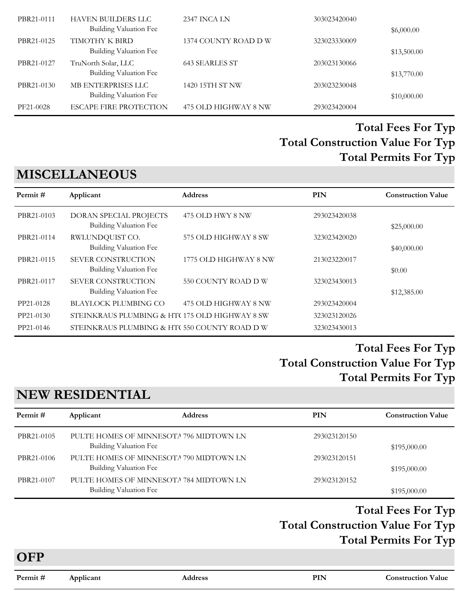| PBR21-0111 | <b>HAVEN BUILDERS LLC</b><br><b>Building Valuation Fee</b> | <b>2347 INCA LN</b>  | 303023420040 | \$6,000.00  |
|------------|------------------------------------------------------------|----------------------|--------------|-------------|
| PBR21-0125 | TIMOTHY K BIRD<br>Building Valuation Fee                   | 1374 COUNTY ROAD D W | 323023330009 | \$13,500.00 |
| PBR21-0127 | TruNorth Solar, LLC<br><b>Building Valuation Fee</b>       | 643 SEARLES ST       | 203023130066 | \$13,770.00 |
| PBR21-0130 | MB ENTERPRISES LLC<br>Building Valuation Fee               | 1420 15TH ST NW      | 203023230048 | \$10,000.00 |
| PF21-0028  | <b>ESCAPE FIRE PROTECTION</b>                              | 475 OLD HIGHWAY 8 NW | 293023420004 |             |

# **MISCELLANEOUS**

| Permit#    | Applicant                                                  | <b>Address</b>        | <b>PIN</b>   | <b>Construction Value</b> |
|------------|------------------------------------------------------------|-----------------------|--------------|---------------------------|
| PBR21-0103 | DORAN SPECIAL PROJECTS<br>Building Valuation Fee           | 475 OLD HWY 8 NW      | 293023420038 | \$25,000.00               |
| PBR21-0114 | RWLUNDQUIST CO.<br>Building Valuation Fee                  | 575 OLD HIGHWAY 8 SW  | 323023420020 | \$40,000.00               |
| PBR21-0115 | <b>SEVER CONSTRUCTION</b><br>Building Valuation Fee        | 1775 OLD HIGHWAY 8 NW | 213023220017 | \$0.00                    |
| PBR21-0117 | <b>SEVER CONSTRUCTION</b><br><b>Building Valuation Fee</b> | 550 COUNTY ROAD D W   | 323023430013 | \$12,385.00               |
| PP21-0128  | <b>BLAYLOCK PLUMBING CO</b>                                | 475 OLD HIGHWAY 8 NW  | 293023420004 |                           |
| PP21-0130  | STEINKRAUS PLUMBING & HT(175 OLD HIGHWAY 8 SW)             |                       | 323023120026 |                           |
| PP21-0146  | STEINKRAUS PLUMBING & HT(550 COUNTY ROAD D W               |                       | 323023430013 |                           |

## **Total Construction Value For Typ Total Fees For Typ Total Permits For Typ**

# **NEW RESIDENTIAL**

| Permit #   | Applicant              | <b>Address</b>                          | <b>PIN</b>   | <b>Construction Value</b> |
|------------|------------------------|-----------------------------------------|--------------|---------------------------|
| PBR21-0105 | Building Valuation Fee | PULTE HOMES OF MINNESOTA 796 MIDTOWN LN | 293023120150 | \$195,000.00              |
| PBR21-0106 | Building Valuation Fee | PULTE HOMES OF MINNESOTA 790 MIDTOWN LN | 293023120151 | \$195,000.00              |
| PBR21-0107 | Building Valuation Fee | PULTE HOMES OF MINNESOTA 784 MIDTOWN LN | 293023120152 | \$195,000.00              |

### **Total Construction Value For Typ Total Fees For Typ Total Permits For Typ**

**OFP**

**Permit # Applicant Address PIN Construction Value**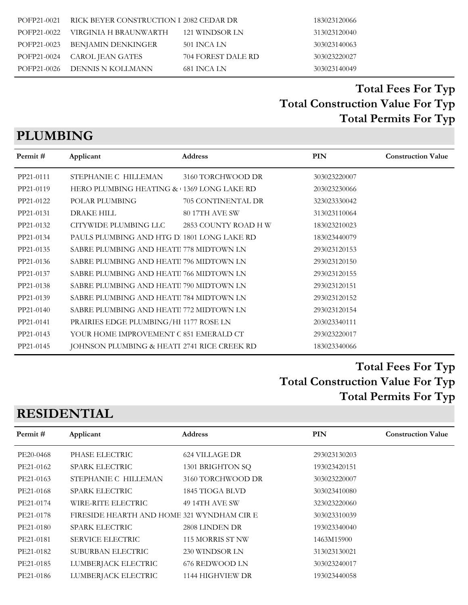# **PLUMBING**

| Permit#   | Applicant                                   | <b>Address</b>       | PIN          | <b>Construction Value</b> |
|-----------|---------------------------------------------|----------------------|--------------|---------------------------|
| PP21-0111 | STEPHANIE C HILLEMAN                        | 3160 TORCHWOOD DR    | 303023220007 |                           |
| PP21-0119 | HERO PLUMBING HEATING & 1369 LONG LAKE RD   |                      | 203023230066 |                           |
| PP21-0122 | POLAR PLUMBING                              | 705 CONTINENTAL DR   | 323023330042 |                           |
| PP21-0131 | <b>DRAKE HILL</b>                           | 80 17TH AVE SW       | 313023110064 |                           |
| PP21-0132 | CITYWIDE PLUMBING LLC                       | 2853 COUNTY ROAD H W | 183023210023 |                           |
| PP21-0134 | PAULS PLUMBING AND HTG D. 1801 LONG LAKE RD |                      | 183023440079 |                           |
| PP21-0135 | SABRE PLUMBING AND HEATII 778 MIDTOWN LN    |                      | 293023120153 |                           |
| PP21-0136 | SABRE PLUMBING AND HEATI 796 MIDTOWN LN     |                      | 293023120150 |                           |
| PP21-0137 | SABRE PLUMBING AND HEATI 766 MIDTOWN LN     |                      | 293023120155 |                           |
| PP21-0138 | SABRE PLUMBING AND HEATI 790 MIDTOWN LN     |                      | 293023120151 |                           |
| PP21-0139 | SABRE PLUMBING AND HEATI 784 MIDTOWN LN     |                      | 293023120152 |                           |
| PP21-0140 | SABRE PLUMBING AND HEATII 772 MIDTOWN LN    |                      | 293023120154 |                           |
| PP21-0141 | PRAIRIES EDGE PLUMBING/HI 1177 ROSE LN      |                      | 203023340111 |                           |
| PP21-0143 | YOUR HOME IMPROVEMENT C 851 EMERALD CT      |                      | 293023220017 |                           |
| PP21-0145 | JOHNSON PLUMBING & HEATI 2741 RICE CREEK RD |                      | 183023340066 |                           |

# **Total Construction Value For Typ Total Fees For Typ Total Permits For Typ**

# **RESIDENTIAL**

| Permit #  | Applicant                                  | <b>Address</b>    | PIN          | <b>Construction Value</b> |
|-----------|--------------------------------------------|-------------------|--------------|---------------------------|
| PE20-0468 | PHASE ELECTRIC                             | 624 VILLAGE DR    | 293023130203 |                           |
| PE21-0162 | <b>SPARK ELECTRIC</b>                      | 1301 BRIGHTON SQ  | 193023420151 |                           |
| PE21-0163 | STEPHANIE C HILLEMAN                       | 3160 TORCHWOOD DR | 303023220007 |                           |
| PE21-0168 | <b>SPARK ELECTRIC</b>                      | 1845 TIOGA BLVD   | 303023410080 |                           |
| PE21-0174 | WIRE-RITE ELECTRIC                         | 49 14TH AVE SW    | 323023220060 |                           |
| PE21-0178 | FIRESIDE HEARTH AND HOME 321 WYNDHAM CIR E |                   | 303023310039 |                           |
| PE21-0180 | <b>SPARK ELECTRIC</b>                      | 2808 LINDEN DR    | 193023340040 |                           |
| PE21-0181 | <b>SERVICE ELECTRIC</b>                    | 115 MORRIS ST NW  | 1463M15900   |                           |
| PE21-0182 | SUBURBAN ELECTRIC                          | 230 WINDSOR LN    | 313023130021 |                           |
| PE21-0185 | LUMBERJACK ELECTRIC                        | 676 REDWOOD LN    | 303023240017 |                           |
| PE21-0186 | LUMBERJACK ELECTRIC                        | 1144 HIGHVIEW DR  | 193023440058 |                           |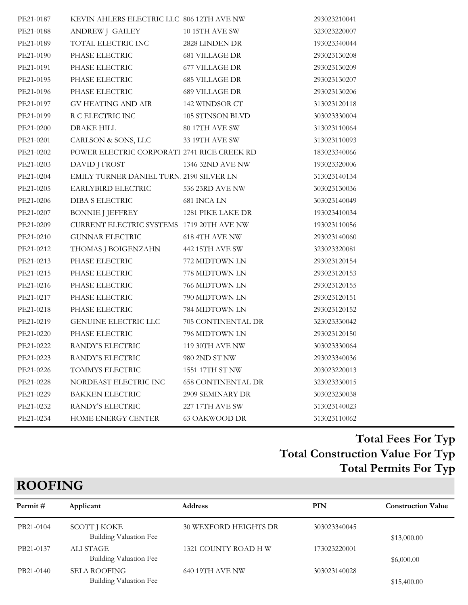| PE21-0187 | KEVIN AHLERS ELECTRIC LLC 806 12TH AVE NW   |                           | 293023210041 |
|-----------|---------------------------------------------|---------------------------|--------------|
| PE21-0188 | ANDREW J GAILEY                             | <b>10 15TH AVE SW</b>     | 323023220007 |
| PE21-0189 | TOTAL ELECTRIC INC                          | 2828 LINDEN DR            | 193023340044 |
| PE21-0190 | PHASE ELECTRIC                              | <b>681 VILLAGE DR</b>     | 293023130208 |
| PE21-0191 | PHASE ELECTRIC                              | 677 VILLAGE DR            | 293023130209 |
| PE21-0195 | PHASE ELECTRIC                              | <b>685 VILLAGE DR</b>     | 293023130207 |
| PE21-0196 | PHASE ELECTRIC                              | 689 VILLAGE DR            | 293023130206 |
| PE21-0197 | GV HEATING AND AIR                          | 142 WINDSOR CT            | 313023120118 |
| PE21-0199 | R C ELECTRIC INC                            | 105 STINSON BLVD          | 303023330004 |
| PE21-0200 | DRAKE HILL                                  | 80 17TH AVE SW            | 313023110064 |
| PE21-0201 | CARLSON & SONS, LLC                         | 33 19TH AVE SW            | 313023110093 |
| PE21-0202 | POWER ELECTRIC CORPORATI 2741 RICE CREEK RD |                           | 183023340066 |
| PE21-0203 | DAVID J FROST                               | 1346 32ND AVE NW          | 193023320006 |
| PE21-0204 | EMILY TURNER DANIEL TURN 2190 SILVER LN     |                           | 313023140134 |
| PE21-0205 | EARLYBIRD ELECTRIC                          | 536 23RD AVE NW           | 303023130036 |
| PE21-0206 | <b>DIBA S ELECTRIC</b>                      | 681 INCA LN               | 303023140049 |
| PE21-0207 | BONNIE J JEFFREY                            | 1281 PIKE LAKE DR         | 193023410034 |
| PE21-0209 | CURRENT ELECTRIC SYSTEMS 1719 20TH AVE NW   |                           | 193023110056 |
| PE21-0210 | <b>GUNNAR ELECTRIC</b>                      | 618 4TH AVE NW            | 293023140060 |
| PE21-0212 | THOMAS J BOIGENZAHN                         | 442 15TH AVE SW           | 323023320081 |
| PE21-0213 | PHASE ELECTRIC                              | 772 MIDTOWN LN            | 293023120154 |
| PE21-0215 | PHASE ELECTRIC                              | 778 MIDTOWN LN            | 293023120153 |
| PE21-0216 | PHASE ELECTRIC                              | 766 MIDTOWN LN            | 293023120155 |
| PE21-0217 | PHASE ELECTRIC                              | 790 MIDTOWN LN            | 293023120151 |
| PE21-0218 | PHASE ELECTRIC                              | 784 MIDTOWN LN            | 293023120152 |
| PE21-0219 | GENUINE ELECTRIC LLC                        | 705 CONTINENTAL DR        | 323023330042 |
| PE21-0220 | PHASE ELECTRIC                              | 796 MIDTOWN LN            | 293023120150 |
| PE21-0222 | RANDY'S ELECTRIC                            | <b>119 30TH AVE NW</b>    | 303023330064 |
| PE21-0223 | RANDY'S ELECTRIC                            | 980 2ND ST NW             | 293023340036 |
| PE21-0226 | TOMMYS ELECTRIC                             | 1551 17TH ST NW           | 203023220013 |
| PE21-0228 | NORDEAST ELECTRIC INC                       | <b>658 CONTINENTAL DR</b> | 323023330015 |
| PE21-0229 | <b>BAKKEN ELECTRIC</b>                      | 2909 SEMINARY DR          | 303023230038 |
| PE21-0232 | RANDY'S ELECTRIC                            | 227 17TH AVE SW           | 313023140023 |
| PE21-0234 | HOME ENERGY CENTER                          | <b>63 OAKWOOD DR</b>      | 313023110062 |

| $\sim$ $\sim$ $\sim$ $\sim$ $\sim$ |                                               |                              |              |                           |
|------------------------------------|-----------------------------------------------|------------------------------|--------------|---------------------------|
| Permit#                            | Applicant                                     | <b>Address</b>               | PIN          | <b>Construction Value</b> |
| PB21-0104                          | SCOTT J KOKE<br>Building Valuation Fee        | <b>30 WEXFORD HEIGHTS DR</b> | 303023340045 | \$13,000.00               |
| PB21-0137                          | ALI STAGE<br>Building Valuation Fee           | 1321 COUNTY ROAD H W         | 173023220001 | \$6,000.00                |
| PB21-0140                          | <b>SELA ROOFING</b><br>Building Valuation Fee | 640 19TH AVE NW              | 303023140028 | \$15,400.00               |

# **ROOFING**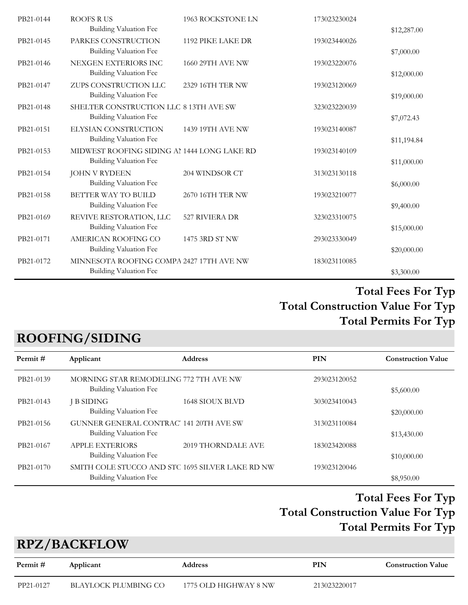| PB21-0144 | <b>ROOFS RUS</b><br><b>Building Valuation Fee</b>                            | 1963 ROCKSTONE LN | 173023230024 | \$12,287.00 |
|-----------|------------------------------------------------------------------------------|-------------------|--------------|-------------|
| PB21-0145 | PARKES CONSTRUCTION<br>Building Valuation Fee                                | 1192 PIKE LAKE DR | 193023440026 | \$7,000.00  |
| PB21-0146 | NEXGEN EXTERIORS INC<br>Building Valuation Fee                               | 1660 29TH AVE NW  | 193023220076 | \$12,000.00 |
| PB21-0147 | ZUPS CONSTRUCTION LLC<br>Building Valuation Fee                              | 2329 16TH TER NW  | 193023120069 | \$19,000.00 |
| PB21-0148 | SHELTER CONSTRUCTION LLC 8 13TH AVE SW<br>Building Valuation Fee             |                   | 323023220039 | \$7,072.43  |
| PB21-0151 | ELYSIAN CONSTRUCTION<br>Building Valuation Fee                               | 1439 19TH AVE NW  | 193023140087 | \$11,194.84 |
| PB21-0153 | MIDWEST ROOFING SIDING AL 1444 LONG LAKE RD<br><b>Building Valuation Fee</b> |                   | 193023140109 | \$11,000.00 |
| PB21-0154 | <b>JOHN V RYDEEN</b><br>Building Valuation Fee                               | 204 WINDSOR CT    | 313023130118 | \$6,000.00  |
| PB21-0158 | BETTER WAY TO BUILD<br>Building Valuation Fee                                | 2670 16TH TER NW  | 193023210077 | \$9,400.00  |
| PB21-0169 | REVIVE RESTORATION, LLC<br>Building Valuation Fee                            | 527 RIVIERA DR    | 323023310075 | \$15,000.00 |
| PB21-0171 | AMERICAN ROOFING CO<br>Building Valuation Fee                                | 1475 3RD ST NW    | 293023330049 | \$20,000.00 |
| PB21-0172 | MINNESOTA ROOFING COMPA 2427 17TH AVE NW<br><b>Building Valuation Fee</b>    |                   | 183023110085 | \$3,300.00  |
|           |                                                                              |                   |              |             |

# **ROOFING/SIDING**

| Permit#   | Applicant                                                               | <b>Address</b>                                   | PIN          | <b>Construction Value</b> |
|-----------|-------------------------------------------------------------------------|--------------------------------------------------|--------------|---------------------------|
| PB21-0139 | MORNING STAR REMODELING 772 7TH AVE NW<br><b>Building Valuation Fee</b> |                                                  | 293023120052 | \$5,600.00                |
| PB21-0143 | J B SIDING<br>Building Valuation Fee                                    | <b>1648 SIOUX BLVD</b>                           | 303023410043 | \$20,000.00               |
| PB21-0156 | GUNNER GENERAL CONTRAC' 141 20TH AVE SW<br>Building Valuation Fee       |                                                  | 313023110084 | \$13,430.00               |
| PB21-0167 | <b>APPLE EXTERIORS</b><br>Building Valuation Fee                        | 2019 THORNDALE AVE                               | 183023420088 | \$10,000.00               |
| PB21-0170 | Building Valuation Fee                                                  | SMITH COLE STUCCO AND STC 1695 SILVER LAKE RD NW | 193023120046 | \$8,950.00                |

# **Total Construction Value For Typ Total Fees For Typ Total Permits For Typ**

# **RPZ/BACKFLOW**

| Permit #  | Applicant            | <b>Address</b>        | PIN          | <b>Construction Value</b> |
|-----------|----------------------|-----------------------|--------------|---------------------------|
| PP21-0127 | BLAYLOCK PLUMBING CO | 1775 OLD HIGHWAY 8 NW | 213023220017 |                           |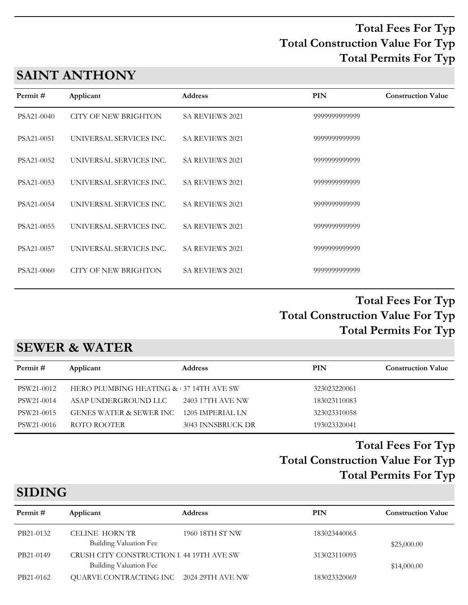# **SAINT ANTHONY**

| Permit #   | Applicant               | <b>Address</b>         | <b>PIN</b>    | <b>Construction Value</b> |
|------------|-------------------------|------------------------|---------------|---------------------------|
| PSA21-0040 | CITY OF NEW BRIGHTON    | <b>SA REVIEWS 2021</b> | 9999999999999 |                           |
| PSA21-0051 | UNIVERSAL SERVICES INC. | <b>SA REVIEWS 2021</b> | 9999999999999 |                           |
| PSA21-0052 | UNIVERSAL SERVICES INC. | <b>SA REVIEWS 2021</b> | 9999999999999 |                           |
| PSA21-0053 | UNIVERSAL SERVICES INC. | SA REVIEWS 2021        | 9999999999999 |                           |
| PSA21-0054 | UNIVERSAL SERVICES INC. | <b>SA REVIEWS 2021</b> | 9999999999999 |                           |
| PSA21-0055 | UNIVERSAL SERVICES INC. | <b>SA REVIEWS 2021</b> | 9999999999999 |                           |
| PSA21-0057 | UNIVERSAL SERVICES INC. | <b>SA REVIEWS 2021</b> | 9999999999999 |                           |
| PSA21-0060 | CITY OF NEW BRIGHTON    | SA REVIEWS 2021        | 9999999999999 |                           |

#### **Total Construction Value For Typ Total Fees For Typ Total Permits For Typ**

## **SEWER & WATER**

| Permit #   | Applicant                              | <b>Address</b>    | PIN          | <b>Construction Value</b> |
|------------|----------------------------------------|-------------------|--------------|---------------------------|
| PSW21-0012 | HERO PLUMBING HEATING & 37 14TH AVE SW |                   | 323023220061 |                           |
| PSW21-0014 | ASAP UNDERGROUND LLC                   | 2403 17TH AVE NW  | 183023110083 |                           |
| PSW21-0015 | GENES WATER & SEWER INC                | 1205 IMPERIAL LN  | 323023310058 |                           |
| PSW21-0016 | ROTO ROOTER                            | 3043 INNSBRUCK DR | 193023320041 |                           |
|            |                                        |                   |              |                           |

# **Total Construction Value For Typ Total Fees For Typ Total Permits For Typ**

# **SIDING**

| Permit #  | Applicant                                                          | <b>Address</b>  | PIN          | <b>Construction Value</b> |
|-----------|--------------------------------------------------------------------|-----------------|--------------|---------------------------|
| PB21-0132 | CELINE HORN TR<br>Building Valuation Fee                           | 1960 18TH ST NW | 183023440065 | \$25,000.00               |
| PB21-0149 | CRUSH CITY CONSTRUCTION I 44 19TH AVE SW<br>Building Valuation Fee |                 | 313023110095 | \$14,000.00               |
| PB21-0162 | QUARVE CONTRACTING INC 2024 29TH AVE NW                            |                 | 183023320069 |                           |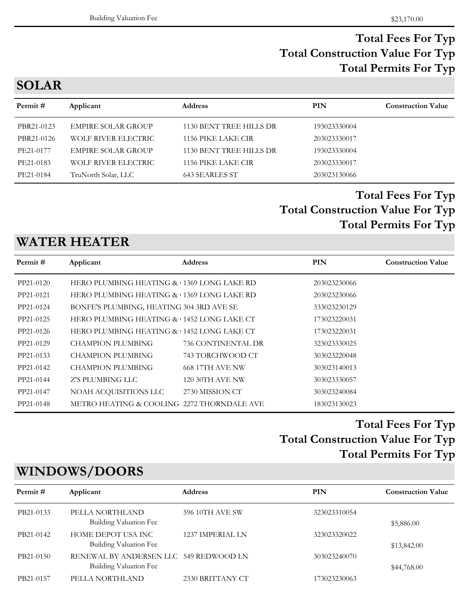**SOLAR**

| Permit #   | Applicant                  | <b>Address</b>          | <b>PIN</b>   | <b>Construction Value</b> |
|------------|----------------------------|-------------------------|--------------|---------------------------|
| PBR21-0123 | <b>EMPIRE SOLAR GROUP</b>  | 1130 BENT TREE HILLS DR | 193023330004 |                           |
| PBR21-0126 | WOLF RIVER ELECTRIC        | 1156 PIKE LAKE CIR      | 203023330017 |                           |
| PE21-0177  | <b>EMPIRE SOLAR GROUP</b>  | 1130 BENT TREE HILLS DR | 193023330004 |                           |
| PE21-0183  | <b>WOLF RIVER ELECTRIC</b> | 1156 PIKE LAKE CIR      | 203023330017 |                           |
| PE21-0184  | TruNorth Solar, LLC        | <b>643 SEARLES ST</b>   | 203023130066 |                           |
|            |                            |                         |              |                           |

# **Total Construction Value For Typ Total Fees For Typ Total Permits For Typ**

# **WATER HEATER**

| Permit #  | Applicant                                  | <b>Address</b>         | <b>PIN</b>   | <b>Construction Value</b> |
|-----------|--------------------------------------------|------------------------|--------------|---------------------------|
| PP21-0120 | HERO PLUMBING HEATING & 1369 LONG LAKE RD  |                        | 203023230066 |                           |
| PP21-0121 | HERO PLUMBING HEATING & 1369 LONG LAKE RD  |                        | 203023230066 |                           |
| PP21-0124 | BONFE'S PLUMBING, HEATING 304 3RD AVE SE   |                        | 333023230129 |                           |
| PP21-0125 | HERO PLUMBING HEATING & 1452 LONG LAKE CT  |                        | 173023220031 |                           |
| PP21-0126 | HERO PLUMBING HEATING & 1452 LONG LAKE CT  |                        | 173023220031 |                           |
| PP21-0129 | <b>CHAMPION PLUMBING</b>                   | 736 CONTINENTAL DR     | 323023330025 |                           |
| PP21-0133 | <b>CHAMPION PLUMBING</b>                   | 743 TORCHWOOD CT       | 303023220048 |                           |
| PP21-0142 | <b>CHAMPION PLUMBING</b>                   | <b>668 17TH AVE NW</b> | 303023140013 |                           |
| PP21-0144 | Z'S PLUMBING LLC                           | <b>120 30TH AVE NW</b> | 303023330057 |                           |
| PP21-0147 | NOAH ACQUISITIONS LLC                      | 2730 MISSION CT        | 303023240084 |                           |
| PP21-0148 | METRO HEATING & COOLING 2272 THORNDALE AVE |                        | 183023130023 |                           |
|           |                                            |                        |              |                           |

# **Total Construction Value For Typ Total Fees For Typ Total Permits For Typ**

# **WINDOWS/DOORS**

| Permit #  | Applicant                                                        | <b>Address</b>   | PIN          | <b>Construction Value</b> |
|-----------|------------------------------------------------------------------|------------------|--------------|---------------------------|
| PB21-0133 | PELLA NORTHLAND<br>Building Valuation Fee                        | 596 10TH AVE SW  | 323023310054 | \$5,886.00                |
| PB21-0142 | HOME DEPOT USA INC<br>Building Valuation Fee                     | 1237 IMPERIAL LN | 323023320022 | \$13,842.00               |
| PB21-0150 | RENEWAL BY ANDERSEN LLC 549 REDWOOD LN<br>Building Valuation Fee |                  | 303023240070 | \$44,768.00               |
| PB21-0157 | PELLA NORTHLAND                                                  | 2330 BRITTANY CT | 173023230063 |                           |